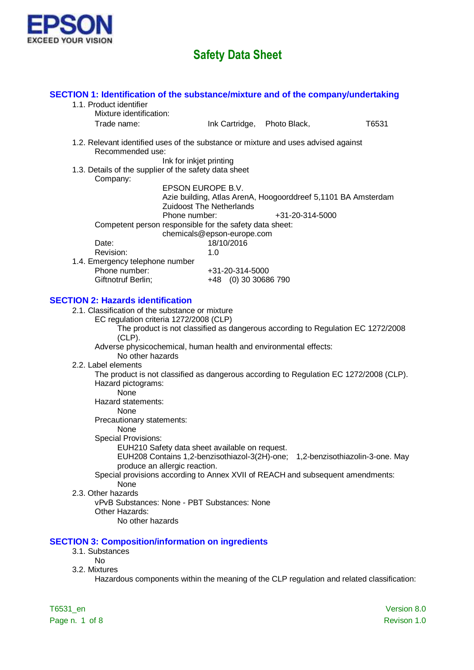

| SECTION 1: Identification of the substance/mixture and of the company/undertaking<br>1.1. Product identifier<br>Mixture identification: |                                                                                                                                        |                 |                                                                                           |
|-----------------------------------------------------------------------------------------------------------------------------------------|----------------------------------------------------------------------------------------------------------------------------------------|-----------------|-------------------------------------------------------------------------------------------|
| Trade name:                                                                                                                             | Ink Cartridge, Photo Black,                                                                                                            |                 | T6531                                                                                     |
| 1.2. Relevant identified uses of the substance or mixture and uses advised against<br>Recommended use:                                  |                                                                                                                                        |                 |                                                                                           |
| 1.3. Details of the supplier of the safety data sheet<br>Company:                                                                       | Ink for inkjet printing                                                                                                                |                 |                                                                                           |
|                                                                                                                                         | EPSON EUROPE B.V.<br>Azie building, Atlas ArenA, Hoogoorddreef 5,1101 BA Amsterdam<br><b>Zuidoost The Netherlands</b><br>Phone number: | +31-20-314-5000 |                                                                                           |
|                                                                                                                                         | Competent person responsible for the safety data sheet:<br>chemicals@epson-europe.com                                                  |                 |                                                                                           |
| Date:<br>Revision:                                                                                                                      | 18/10/2016<br>1.0                                                                                                                      |                 |                                                                                           |
| 1.4. Emergency telephone number<br>Phone number:<br>Giftnotruf Berlin;                                                                  | +31-20-314-5000<br>+48 (0) 30 30686 790                                                                                                |                 |                                                                                           |
| <b>SECTION 2: Hazards identification</b>                                                                                                |                                                                                                                                        |                 |                                                                                           |
| 2.1. Classification of the substance or mixture<br>EC regulation criteria 1272/2008 (CLP)<br>$(CLP)$ .                                  | The product is not classified as dangerous according to Regulation EC 1272/2008                                                        |                 |                                                                                           |
| No other hazards                                                                                                                        | Adverse physicochemical, human health and environmental effects:                                                                       |                 |                                                                                           |
| 2.2. Label elements<br>Hazard pictograms:<br>None                                                                                       | The product is not classified as dangerous according to Regulation EC 1272/2008 (CLP).                                                 |                 |                                                                                           |
| Hazard statements:<br>None                                                                                                              |                                                                                                                                        |                 |                                                                                           |
| Precautionary statements:<br>None<br><b>Special Provisions:</b>                                                                         |                                                                                                                                        |                 |                                                                                           |
| produce an allergic reaction.                                                                                                           | EUH210 Safety data sheet available on request.<br>EUH208 Contains 1,2-benzisothiazol-3(2H)-one; 1,2-benzisothiazolin-3-one. May        |                 |                                                                                           |
| None<br>2.3. Other hazards                                                                                                              | Special provisions according to Annex XVII of REACH and subsequent amendments:                                                         |                 |                                                                                           |
| Other Hazards:<br>No other hazards                                                                                                      | vPvB Substances: None - PBT Substances: None                                                                                           |                 |                                                                                           |
| <b>SECTION 3: Composition/information on ingredients</b><br>3.1. Substances                                                             |                                                                                                                                        |                 |                                                                                           |
| <b>No</b><br>3.2. Mixtures                                                                                                              |                                                                                                                                        |                 | Hazardous components within the meaning of the CLP regulation and related classification: |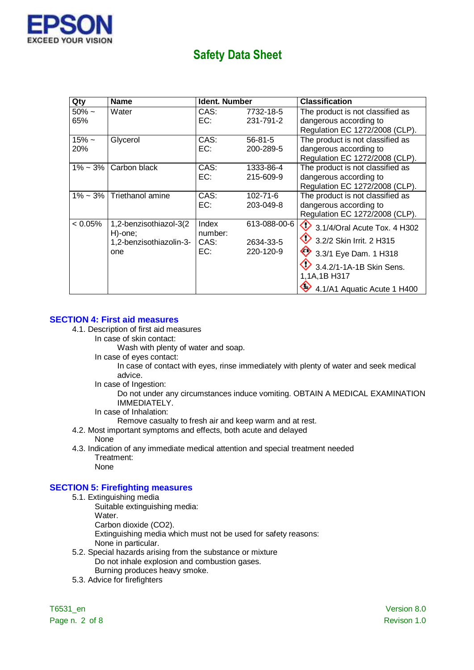

| Qty                | <b>Name</b>                                                         | <b>Ident. Number</b>            |                                        | <b>Classification</b>                                                                                                                                                   |
|--------------------|---------------------------------------------------------------------|---------------------------------|----------------------------------------|-------------------------------------------------------------------------------------------------------------------------------------------------------------------------|
| $50\% \sim$<br>65% | Water                                                               | CAS:<br>EC:                     | 7732-18-5<br>231-791-2                 | The product is not classified as<br>dangerous according to<br>Regulation EC 1272/2008 (CLP).                                                                            |
| $15% -$<br>20%     | Glycerol                                                            | CAS:<br>EC:                     | $56 - 81 - 5$<br>200-289-5             | The product is not classified as<br>dangerous according to<br>Regulation EC 1272/2008 (CLP).                                                                            |
| $1\% - 3\%$        | Carbon black                                                        | CAS:<br>EC:                     | 1333-86-4<br>215-609-9                 | The product is not classified as<br>dangerous according to<br>Regulation EC 1272/2008 (CLP).                                                                            |
| $1\% \sim 3\%$     | Triethanol amine                                                    | CAS:<br>EC:                     | $102 - 71 - 6$<br>203-049-8            | The product is not classified as<br>dangerous according to<br>Regulation EC 1272/2008 (CLP).                                                                            |
| $< 0.05\%$         | 1,2-benzisothiazol-3(2<br>H)-one;<br>1,2-benzisothiazolin-3-<br>one | Index<br>number:<br>CAS:<br>EC: | 613-088-00-6<br>2634-33-5<br>220-120-9 | $\bigcirc$ 3.1/4/Oral Acute Tox. 4 H302<br>3.2/2 Skin Irrit. 2 H315<br>3 3/1 Eye Dam. 1 H318<br>3.4.2/1-1A-1B Skin Sens.<br>1,1A,1B H317<br>4.1/A1 Aquatic Acute 1 H400 |

### **SECTION 4: First aid measures**

- 4.1. Description of first aid measures
	- In case of skin contact:

Wash with plenty of water and soap.

In case of eyes contact:

In case of contact with eyes, rinse immediately with plenty of water and seek medical advice.

In case of Ingestion:

Do not under any circumstances induce vomiting. OBTAIN A MEDICAL EXAMINATION IMMEDIATELY.

In case of Inhalation:

Remove casualty to fresh air and keep warm and at rest.

- 4.2. Most important symptoms and effects, both acute and delayed None
- 4.3. Indication of any immediate medical attention and special treatment needed Treatment: None

#### **SECTION 5: Firefighting measures**

- 5.1. Extinguishing media
	- Suitable extinguishing media:

Water.

Carbon dioxide (CO2).

Extinguishing media which must not be used for safety reasons: None in particular.

- 5.2. Special hazards arising from the substance or mixture Do not inhale explosion and combustion gases. Burning produces heavy smoke.
- 5.3. Advice for firefighters

Page n. 2 of 8 Revison 1.0

T6531\_en Version 8.0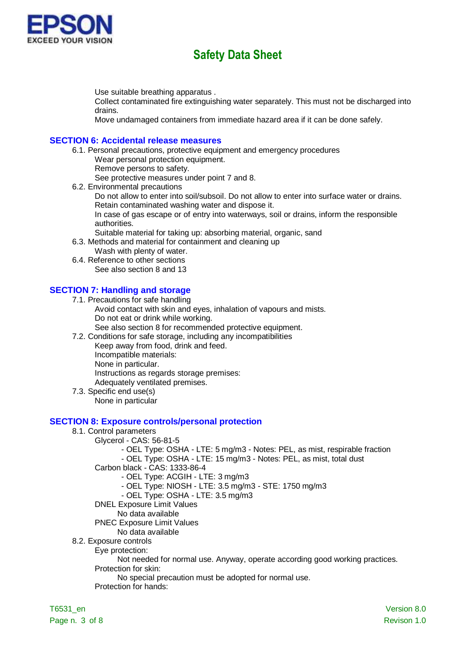

Use suitable breathing apparatus .

Collect contaminated fire extinguishing water separately. This must not be discharged into drains.

Move undamaged containers from immediate hazard area if it can be done safely.

#### **SECTION 6: Accidental release measures**

6.1. Personal precautions, protective equipment and emergency procedures Wear personal protection equipment.

Remove persons to safety. See protective measures under point 7 and 8.

6.2. Environmental precautions

Do not allow to enter into soil/subsoil. Do not allow to enter into surface water or drains. Retain contaminated washing water and dispose it.

In case of gas escape or of entry into waterways, soil or drains, inform the responsible authorities.

Suitable material for taking up: absorbing material, organic, sand

6.3. Methods and material for containment and cleaning up

Wash with plenty of water.

6.4. Reference to other sections See also section 8 and 13

### **SECTION 7: Handling and storage**

7.1. Precautions for safe handling

- Avoid contact with skin and eyes, inhalation of vapours and mists. Do not eat or drink while working.
	- See also section 8 for recommended protective equipment.
- 7.2. Conditions for safe storage, including any incompatibilities

Keep away from food, drink and feed.

Incompatible materials:

None in particular.

Instructions as regards storage premises:

Adequately ventilated premises.

7.3. Specific end use(s)

None in particular

#### **SECTION 8: Exposure controls/personal protection**

- 8.1. Control parameters
	- Glycerol CAS: 56-81-5
		- OEL Type: OSHA LTE: 5 mg/m3 Notes: PEL, as mist, respirable fraction
		- OEL Type: OSHA LTE: 15 mg/m3 Notes: PEL, as mist, total dust
		- Carbon black CAS: 1333-86-4
			- OEL Type: ACGIH LTE: 3 mg/m3
			- OEL Type: NIOSH LTE: 3.5 mg/m3 STE: 1750 mg/m3
			- OEL Type: OSHA LTE: 3.5 mg/m3
		- DNEL Exposure Limit Values
		- No data available
		- PNEC Exposure Limit Values
		- No data available
- 8.2. Exposure controls

Eye protection:

Not needed for normal use. Anyway, operate according good working practices.

Protection for skin:

No special precaution must be adopted for normal use.

Protection for hands: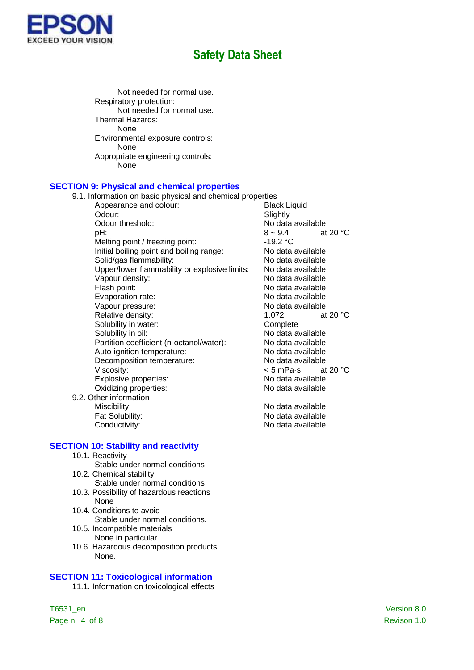

Not needed for normal use. Respiratory protection: Not needed for normal use. Thermal Hazards: None Environmental exposure controls: None Appropriate engineering controls: None

#### **SECTION 9: Physical and chemical properties**

9.1. Information on basic physical and chemical properties

- Appearance and colour: Black Liquid Odour: Slightly Odour threshold:  $\begin{array}{ccc} \text{No data available} \\ \text{pH:} & 8 \sim 9.4 \end{array}$  at pH:  $8 \sim 9.4$  at 20 °C Melting point / freezing point: -19.2 °C Initial boiling point and boiling range: No data available Solid/gas flammability:<br>
Upper/lower flammability or explosive limits: No data available Upper/lower flammability or explosive limits: No data available Vapour density: Flash point: The state of the Second Second Second Second Second Second Second Second Second Second Second Second Second Second Second Second Second Second Second Second Second Second Second Second Second Second Second Sec Evaporation rate: No data available Vapour pressure: Vapour pressure: Relative density: 1.072 at 20 °C Solubility in water: Complete Solubility in oil: No data available Partition coefficient (n-octanol/water): No data available Auto-ignition temperature:<br>
Decomposition temperature:<br>
No data available Decomposition temperature: Viscosity:<br>
Explosive properties:<br>
Explosive properties:<br>
Some Modata available Explosive properties:<br>
Oxidizing properties:<br>
Oxidizing properties:<br>
No data available Oxidizing properties:
- 9.2. Other information Miscibility: No data available

**SECTION 10: Stability and reactivity**

- 10.1. Reactivity
- Stable under normal conditions 10.2. Chemical stability
	- Stable under normal conditions
- 10.3. Possibility of hazardous reactions None
- 10.4. Conditions to avoid Stable under normal conditions.
- 10.5. Incompatible materials None in particular.
- 10.6. Hazardous decomposition products None.

### **SECTION 11: Toxicological information**

11.1. Information on toxicological effects

T6531\_en Version 8.0 Page n. 4 of 8 Revison 1.0

Fat Solubility: The Contract of the No data available Conductivity: Conductivity: No data available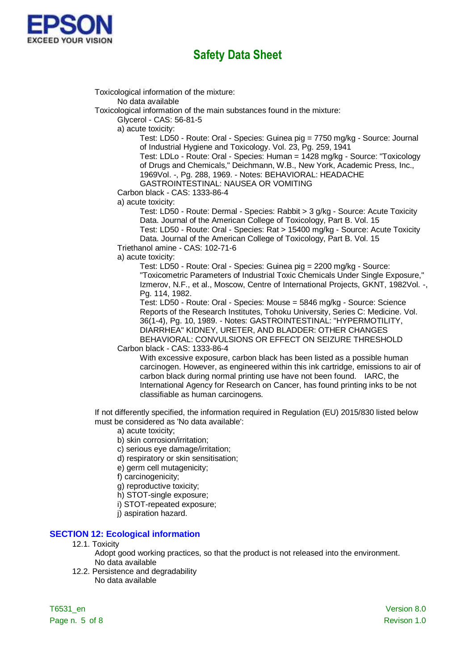

Toxicological information of the mixture:

No data available

Toxicological information of the main substances found in the mixture:

Glycerol - CAS: 56-81-5

a) acute toxicity:

Test: LD50 - Route: Oral - Species: Guinea pig = 7750 mg/kg - Source: Journal of Industrial Hygiene and Toxicology. Vol. 23, Pg. 259, 1941

Test: LDLo - Route: Oral - Species: Human = 1428 mg/kg - Source: "Toxicology of Drugs and Chemicals," Deichmann, W.B., New York, Academic Press, Inc., 1969Vol. -, Pg. 288, 1969. - Notes: BEHAVIORAL: HEADACHE

GASTROINTESTINAL: NAUSEA OR VOMITING

Carbon black - CAS: 1333-86-4

a) acute toxicity:

Test: LD50 - Route: Dermal - Species: Rabbit > 3 g/kg - Source: Acute Toxicity Data. Journal of the American College of Toxicology, Part B. Vol. 15 Test: LD50 - Route: Oral - Species: Rat > 15400 mg/kg - Source: Acute Toxicity Data. Journal of the American College of Toxicology, Part B. Vol. 15

Triethanol amine - CAS: 102-71-6

a) acute toxicity:

Test: LD50 - Route: Oral - Species: Guinea pig = 2200 mg/kg - Source: "Toxicometric Parameters of Industrial Toxic Chemicals Under Single Exposure," Izmerov, N.F., et al., Moscow, Centre of International Projects, GKNT, 1982Vol. -, Pg. 114, 1982.

Test: LD50 - Route: Oral - Species: Mouse = 5846 mg/kg - Source: Science Reports of the Research Institutes, Tohoku University, Series C: Medicine. Vol. 36(1-4), Pg. 10, 1989. - Notes: GASTROINTESTINAL: "HYPERMOTILITY, DIARRHEA" KIDNEY, URETER, AND BLADDER: OTHER CHANGES BEHAVIORAL: CONVULSIONS OR EFFECT ON SEIZURE THRESHOLD

Carbon black - CAS: 1333-86-4

With excessive exposure, carbon black has been listed as a possible human carcinogen. However, as engineered within this ink cartridge, emissions to air of carbon black during normal printing use have not been found. IARC, the International Agency for Research on Cancer, has found printing inks to be not classifiable as human carcinogens.

If not differently specified, the information required in Regulation (EU) 2015/830 listed below must be considered as 'No data available':

a) acute toxicity;

b) skin corrosion/irritation;

c) serious eye damage/irritation;

d) respiratory or skin sensitisation;

e) germ cell mutagenicity;

f) carcinogenicity;

g) reproductive toxicity;

h) STOT-single exposure;

- i) STOT-repeated exposure;
- j) aspiration hazard.

### **SECTION 12: Ecological information**

#### 12.1. Toxicity

Adopt good working practices, so that the product is not released into the environment. No data available

12.2. Persistence and degradability No data available

T6531\_en Version 8.0 Page n. 5 of 8 Revison 1.0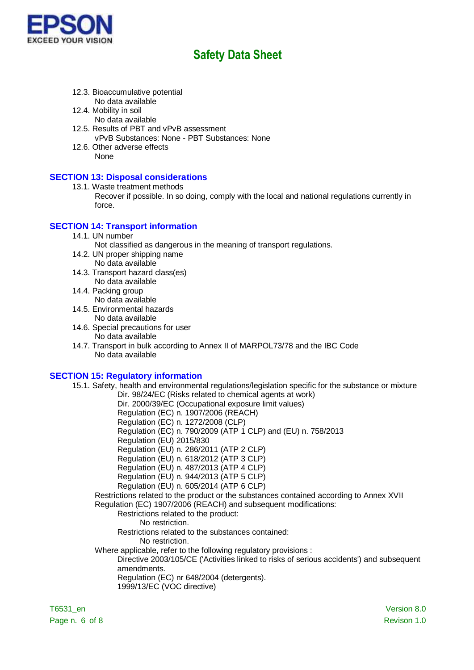

- 12.3. Bioaccumulative potential No data available
- 12.4. Mobility in soil
	- No data available
- 12.5. Results of PBT and vPvB assessment vPvB Substances: None - PBT Substances: None
- 12.6. Other adverse effects None

### **SECTION 13: Disposal considerations**

- 13.1. Waste treatment methods
	- Recover if possible. In so doing, comply with the local and national regulations currently in force.

### **SECTION 14: Transport information**

14.1. UN number

Not classified as dangerous in the meaning of transport regulations.

- 14.2. UN proper shipping name No data available
- 14.3. Transport hazard class(es) No data available
- 14.4. Packing group No data available
- 14.5. Environmental hazards No data available
- 14.6. Special precautions for user
	- No data available
- 14.7. Transport in bulk according to Annex II of MARPOL73/78 and the IBC Code No data available

### **SECTION 15: Regulatory information**

15.1. Safety, health and environmental regulations/legislation specific for the substance or mixture Dir. 98/24/EC (Risks related to chemical agents at work)

Dir. 2000/39/EC (Occupational exposure limit values)

Regulation (EC) n. 1907/2006 (REACH)

Regulation (EC) n. 1272/2008 (CLP)

- Regulation (EC) n. 790/2009 (ATP 1 CLP) and (EU) n. 758/2013
- Regulation (EU) 2015/830
- Regulation (EU) n. 286/2011 (ATP 2 CLP)

Regulation (EU) n. 618/2012 (ATP 3 CLP)

Regulation (EU) n. 487/2013 (ATP 4 CLP)

- Regulation (EU) n. 944/2013 (ATP 5 CLP)
- Regulation (EU) n. 605/2014 (ATP 6 CLP)

Restrictions related to the product or the substances contained according to Annex XVII Regulation (EC) 1907/2006 (REACH) and subsequent modifications:

Restrictions related to the product:

No restriction.

Restrictions related to the substances contained:

- No restriction.
- Where applicable, refer to the following regulatory provisions :

Directive 2003/105/CE ('Activities linked to risks of serious accidents') and subsequent amendments.

Regulation (EC) nr 648/2004 (detergents).

1999/13/EC (VOC directive)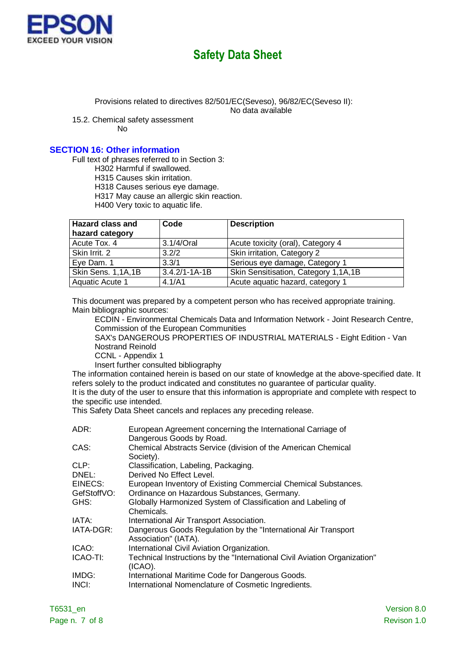

Provisions related to directives 82/501/EC(Seveso), 96/82/EC(Seveso II):

No data available

15.2. Chemical safety assessment

No

### **SECTION 16: Other information**

Full text of phrases referred to in Section 3:

H302 Harmful if swallowed.

H315 Causes skin irritation.

H318 Causes serious eye damage.

H317 May cause an allergic skin reaction.

H400 Very toxic to aquatic life.

| <b>Hazard class and</b> | Code                | <b>Description</b>                   |
|-------------------------|---------------------|--------------------------------------|
| hazard category         |                     |                                      |
| Acute Tox. 4            | 3.1/4/Oral          | Acute toxicity (oral), Category 4    |
| Skin Irrit. 2           | 3.2/2               | Skin irritation, Category 2          |
| Eye Dam. 1              | 3.3/1               | Serious eye damage, Category 1       |
| Skin Sens. 1,1A,1B      | $3.4.2/1 - 1A - 1B$ | Skin Sensitisation, Category 1,1A,1B |
| Aquatic Acute 1         | 4.1/A1              | Acute aquatic hazard, category 1     |

This document was prepared by a competent person who has received appropriate training. Main bibliographic sources:

ECDIN - Environmental Chemicals Data and Information Network - Joint Research Centre, Commission of the European Communities

SAX's DANGEROUS PROPERTIES OF INDUSTRIAL MATERIALS - Eight Edition - Van Nostrand Reinold

CCNL - Appendix 1

Insert further consulted bibliography

The information contained herein is based on our state of knowledge at the above-specified date. It refers solely to the product indicated and constitutes no guarantee of particular quality. It is the duty of the user to ensure that this information is appropriate and complete with respect to the specific use intended.

This Safety Data Sheet cancels and replaces any preceding release.

| ADR:        | European Agreement concerning the International Carriage of<br>Dangerous Goods by Road. |
|-------------|-----------------------------------------------------------------------------------------|
| CAS:        | Chemical Abstracts Service (division of the American Chemical<br>Society).              |
| CLP:        | Classification, Labeling, Packaging.                                                    |
| DNEL:       | Derived No Effect Level.                                                                |
| EINECS:     | European Inventory of Existing Commercial Chemical Substances.                          |
| GefStoffVO: | Ordinance on Hazardous Substances, Germany.                                             |
| GHS:        | Globally Harmonized System of Classification and Labeling of                            |
|             | Chemicals.                                                                              |
| IATA:       | International Air Transport Association.                                                |
| IATA-DGR:   | Dangerous Goods Regulation by the "International Air Transport"<br>Association" (IATA). |
| ICAO:       | International Civil Aviation Organization.                                              |
| ICAO-TI:    | Technical Instructions by the "International Civil Aviation Organization"<br>(ICAO).    |
| IMDG:       | International Maritime Code for Dangerous Goods.                                        |
| INCI:       | International Nomenclature of Cosmetic Ingredients.                                     |
|             |                                                                                         |